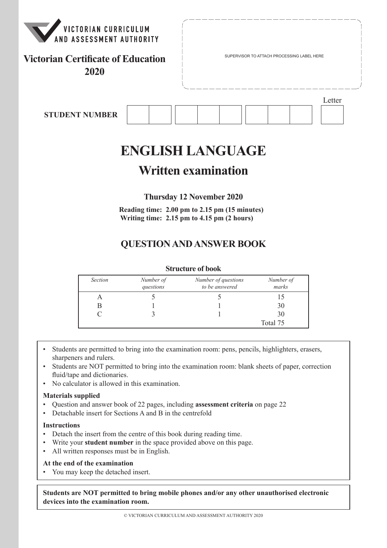

## **Victorian Certificate of Education 2020**

Letter

**STUDENT NUMBER**

# **ENGLISH LANGUAGE**

## **Written examination**

**Thursday 12 November 2020**

**Reading time: 2.00 pm to 2.15 pm (15 minutes) Writing time: 2.15 pm to 4.15 pm (2 hours)**

## **QUESTION AND ANSWER BOOK**

#### **Structure of book**

| <b>Section</b> | Number of<br>questions | Number of questions<br>to be answered | Number of<br>marks |
|----------------|------------------------|---------------------------------------|--------------------|
|                |                        |                                       |                    |
|                |                        |                                       | 30                 |
|                |                        |                                       | 30                 |
|                |                        |                                       | Total 75           |

- Students are permitted to bring into the examination room: pens, pencils, highlighters, erasers, sharpeners and rulers.
- Students are NOT permitted to bring into the examination room: blank sheets of paper, correction fluid/tape and dictionaries.
- No calculator is allowed in this examination.

#### **Materials supplied**

- Question and answer book of 22 pages, including **assessment criteria** on page 22
- Detachable insert for Sections A and B in the centrefold

#### **Instructions**

- Detach the insert from the centre of this book during reading time.
- Write your **student number** in the space provided above on this page.
- All written responses must be in English.

#### **At the end of the examination**

• You may keep the detached insert.

**Students are NOT permitted to bring mobile phones and/or any other unauthorised electronic devices into the examination room.**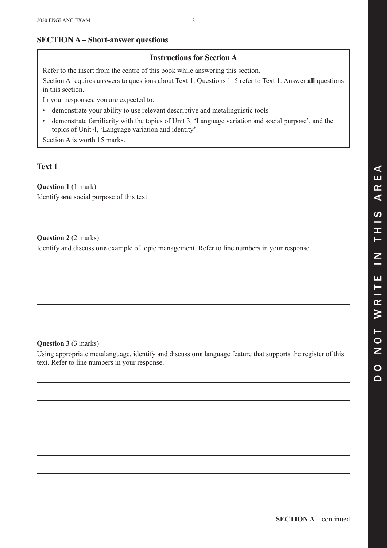## **SECTION A – Short-answer questions**

### **Instructions for Section A**

Refer to the insert from the centre of this book while answering this section.

Section A requires answers to questions about Text 1. Questions 1–5 refer to Text 1. Answer **all** questions in this section.

In your responses, you are expected to:

- demonstrate your ability to use relevant descriptive and metalinguistic tools
- • demonstrate familiarity with the topics of Unit 3, 'Language variation and social purpose', and the topics of Unit 4, 'Language variation and identity'.

Section A is worth 15 marks.

## **Text 1**

**Question 1** (1 mark)

Identify **one** social purpose of this text.

#### **Question 2** (2 marks)

Identify and discuss **one** example of topic management. Refer to line numbers in your response.

#### **Question 3** (3 marks)

Using appropriate metalanguage, identify and discuss **one** language feature that supports the register of this text. Refer to line numbers in your response.

 $\Omega$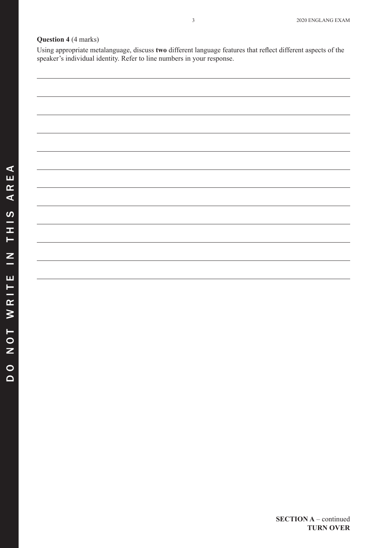#### **Question 4** (4 marks)

Using appropriate metalanguage, discuss **two** different language features that reflect different aspects of the speaker's individual identity. Refer to line numbers in your response.

**SECTION A** – continued **TURN OVER**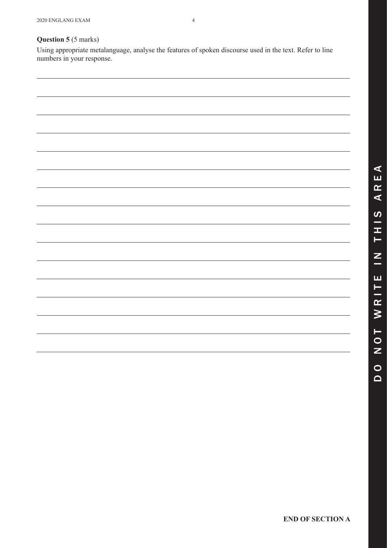#### **Question 5** (5 marks)

Using appropriate metalanguage, analyse the features of spoken discourse used in the text. Refer to line numbers in your response.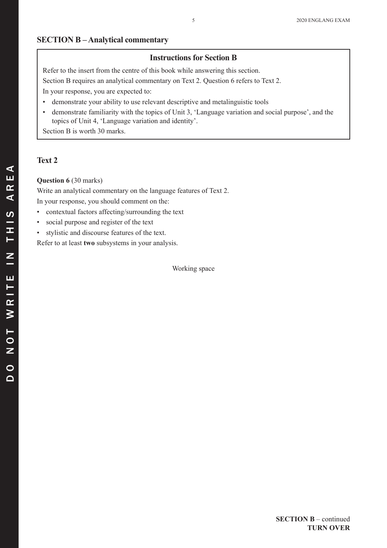#### **SECTION B – Analytical commentary**

#### **Instructions for Section B**

Refer to the insert from the centre of this book while answering this section.

Section B requires an analytical commentary on Text 2. Question 6 refers to Text 2.

In your response, you are expected to:

- demonstrate your ability to use relevant descriptive and metalinguistic tools
- • demonstrate familiarity with the topics of Unit 3, 'Language variation and social purpose', and the topics of Unit 4, 'Language variation and identity'.

Section B is worth 30 marks.

#### **Text 2**

#### **Question 6** (30 marks)

Write an analytical commentary on the language features of Text 2. In your response, you should comment on the:

- • contextual factors affecting/surrounding the text
- • social purpose and register of the text
- • stylistic and discourse features of the text.

Refer to at least **two** subsystems in your analysis.

Working space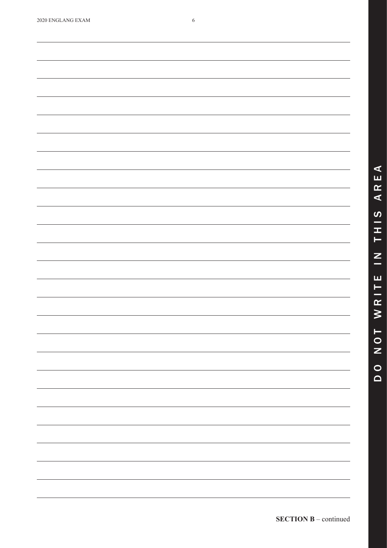| 2020 ENGLANG EXAM |  |
|-------------------|--|
|-------------------|--|

<u> 1989 - Jan Samuel Barbara, margaret a shekara ta 1989 - An tsara tsara tsara tsara tsara tsara tsara tsara t</u>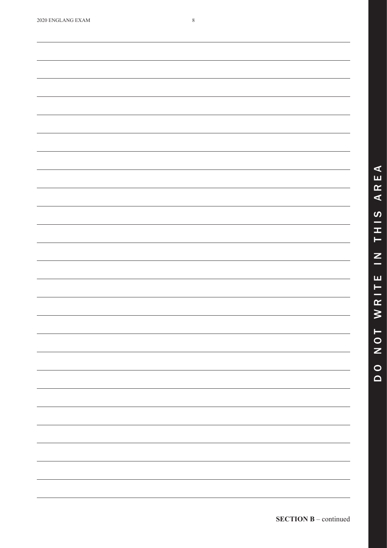,我们也不能会在这里,我们的人们也不能会在这里,我们也不能会在这里,我们也不能会在这里,我们也不能会在这里,我们也不能会在这里,我们也不能会不能会不能会。<br>第2012章 我们的人们,我们的人们的人们,我们的人们的人们,我们的人们的人们的人们,我们的人们的人们的人们,我们的人们的人们,我们的人们的人们,我们的人们的人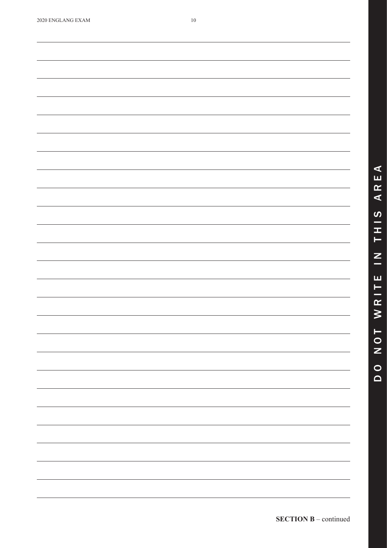| 2020 ENGLANG EXAM |  |  |  |
|-------------------|--|--|--|
|-------------------|--|--|--|

<u> 1989 - Jan Samuel Barbara, margaret a shekara ta 1989 - An tsara tsara tsara tsara tsara tsara tsara tsara t</u>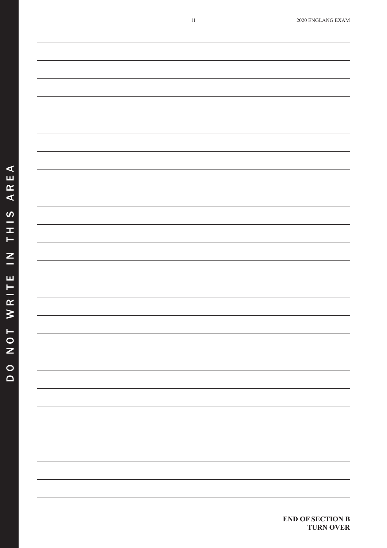**END OF SECTION B**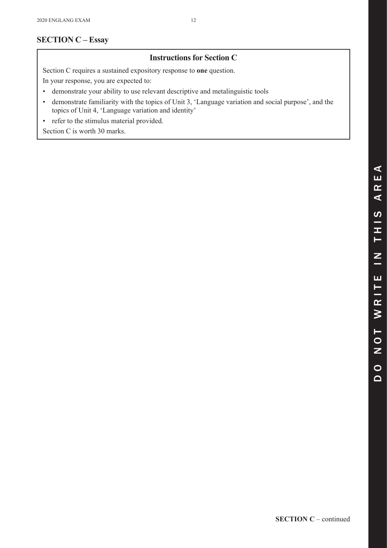## **SECTION C – Essay**

## **Instructions for Section C**

Section C requires a sustained expository response to **one** question.

In your response, you are expected to:

- • demonstrate your ability to use relevant descriptive and metalinguistic tools
- • demonstrate familiarity with the topics of Unit 3, 'Language variation and social purpose', and the topics of Unit 4, 'Language variation and identity'
- refer to the stimulus material provided.

Section C is worth 30 marks.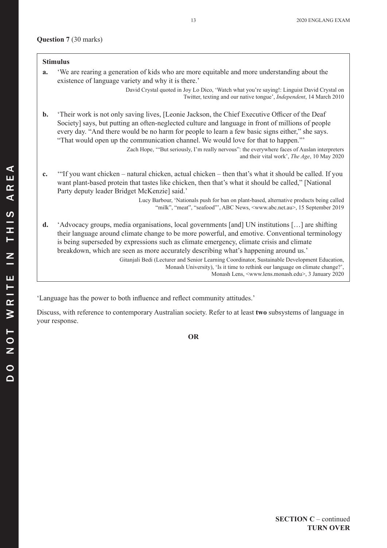#### **Question 7** (30 marks)

|                | <b>Stimulus</b>                                                                                                                                                                                                                                                                                                                                                                             |
|----------------|---------------------------------------------------------------------------------------------------------------------------------------------------------------------------------------------------------------------------------------------------------------------------------------------------------------------------------------------------------------------------------------------|
| a.             | We are rearing a generation of kids who are more equitable and more understanding about the<br>existence of language variety and why it is there.'                                                                                                                                                                                                                                          |
|                | David Crystal quoted in Joy Lo Dico, 'Watch what you're saying!: Linguist David Crystal on<br>Twitter, texting and our native tongue', <i>Independent</i> , 14 March 2010                                                                                                                                                                                                                   |
| $\mathbf{b}$ . | Their work is not only saving lives, [Leonie Jackson, the Chief Executive Officer of the Deaf<br>Society] says, but putting an often-neglected culture and language in front of millions of people<br>every day. "And there would be no harm for people to learn a few basic signs either," she says.<br>"That would open up the communication channel. We would love for that to happen."" |
|                | Zach Hope, "But seriously, I'm really nervous": the everywhere faces of Auslan interpreters<br>and their vital work', The Age, 10 May 2020                                                                                                                                                                                                                                                  |
| c.             | "If you want chicken – natural chicken, actual chicken – then that's what it should be called. If you<br>want plant-based protein that tastes like chicken, then that's what it should be called," [National<br>Party deputy leader Bridget McKenzie] said.'                                                                                                                                |
|                | Lucy Barbour, 'Nationals push for ban on plant-based, alternative products being called<br>"milk", "meat", "seafood"', ABC News, <www.abc.net.au>, 15 September 2019</www.abc.net.au>                                                                                                                                                                                                       |
| $\mathbf{d}$ . | 'Advocacy groups, media organisations, local governments [and] UN institutions [] are shifting<br>their language around climate change to be more powerful, and emotive. Conventional terminology<br>is being superseded by expressions such as climate emergency, climate crisis and climate<br>breakdown, which are seen as more accurately describing what's happening around us.'       |
|                | Gitanjali Bedi (Lecturer and Senior Learning Coordinator, Sustainable Development Education,<br>Monash University), 'Is it time to rethink our language on climate change?',<br>Monash Lens, <www.lens.monash.edu>, 3 January 2020</www.lens.monash.edu>                                                                                                                                    |

'Language has the power to both influence and reflect community attitudes.'

Discuss, with reference to contemporary Australian society. Refer to at least **two** subsystems of language in your response.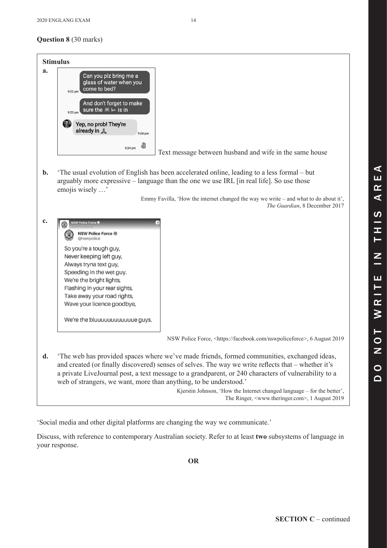|                | <b>Stimulus</b>                                                                                                                                                                                                                                                                                                                                                                |
|----------------|--------------------------------------------------------------------------------------------------------------------------------------------------------------------------------------------------------------------------------------------------------------------------------------------------------------------------------------------------------------------------------|
| a.             | Can you plz bring me a<br>glass of water when you<br>come to bed?<br>9:22 pm<br>And don't forget to make<br>sure the $\bullet$ + is in<br>$9:23$ pm                                                                                                                                                                                                                            |
|                | 47.<br>Yep, no prob! They're<br>already in A<br>9:24 pm                                                                                                                                                                                                                                                                                                                        |
|                | ð<br>9:24 pm<br>Text message between husband and wife in the same house                                                                                                                                                                                                                                                                                                        |
| $\mathbf{b}$ . | The usual evolution of English has been accelerated online, leading to a less formal – but<br>arguably more expressive – language than the one we use IRL [in real life]. So use those<br>emojis wisely '                                                                                                                                                                      |
|                | Emmy Favilla, 'How the internet changed the way we write – and what to do about it',<br>The Guardian, 8 December 2017                                                                                                                                                                                                                                                          |
| $c_{\cdot}$    | <b>NSW Police Force ©</b><br>۷<br><b>NSW Police Force @</b><br>@nswpolice<br>So you're a tough guy,<br>Never keeping left guy,<br>Always tryna text guy,<br>Speeding in the wet guy.<br>We're the bright lights,<br>Flashing in your rear sights,<br>Take away your road rights,<br>Wave your licence goodbye,<br>We're the bluuuuuuuuuuuue guys.                              |
|                | NSW Police Force, <https: facebook.com="" nswpoliceforce="">, 6 August 2019</https:>                                                                                                                                                                                                                                                                                           |
| d.             | The web has provided spaces where we've made friends, formed communities, exchanged ideas,<br>and created (or finally discovered) senses of selves. The way we write reflects that - whether it's<br>a private LiveJournal post, a text message to a grandparent, or 240 characters of vulnerability to a<br>web of strangers, we want, more than anything, to be understood.' |
|                | Kjerstin Johnson, 'How the Internet changed language – for the better',<br>The Ringer, <www.theringer.com>, 1 August 2019</www.theringer.com>                                                                                                                                                                                                                                  |

'Social media and other digital platforms are changing the way we communicate.'

Discuss, with reference to contemporary Australian society. Refer to at least **two** subsystems of language in your response.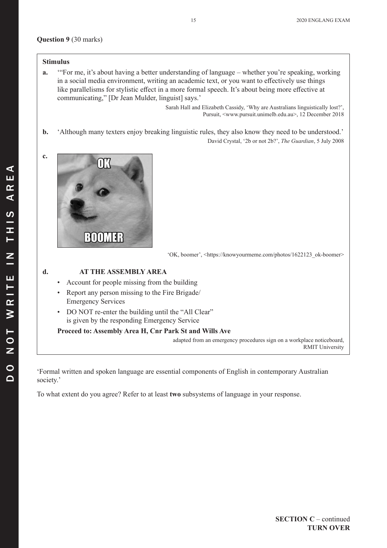#### **Question 9** (30 marks)

#### **Stimulus**

**a.** '"For me, it's about having a better understanding of language – whether you're speaking, working in a social media environment, writing an academic text, or you want to effectively use things like parallelisms for stylistic effect in a more formal speech. It's about being more effective at communicating," [Dr Jean Mulder, linguist] says.'

> Sarah Hall and Elizabeth Cassidy, 'Why are Australians linguistically lost?', Pursuit, <www.pursuit.unimelb.edu.au>, 12 December 2018

**b.** 'Although many texters enjoy breaking linguistic rules, they also know they need to be understood.'

David Crystal, '2b or not 2b?', *The Guardian*, 5 July 2008



'OK, boomer', <https://knowyourmeme.com/photos/1622123\_ok-boomer>

#### **d. AT THE ASSEMBLY AREA**

- Account for people missing from the building
- Report any person missing to the Fire Brigade/ Emergency Services
- DO NOT re-enter the building until the "All Clear" is given by the responding Emergency Service

**Proceed to: Assembly Area H, Cnr Park St and Wills Ave**

adapted from an emergency procedures sign on a workplace noticeboard, RMIT University

'Formal written and spoken language are essential components of English in contemporary Australian society.'

To what extent do you agree? Refer to at least **two** subsystems of language in your response.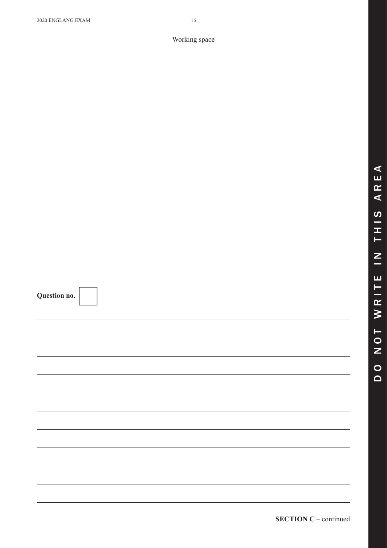$\blacktriangleleft$ 

**SECTION C** – continued

| Working space |  |
|---------------|--|

**Question no.**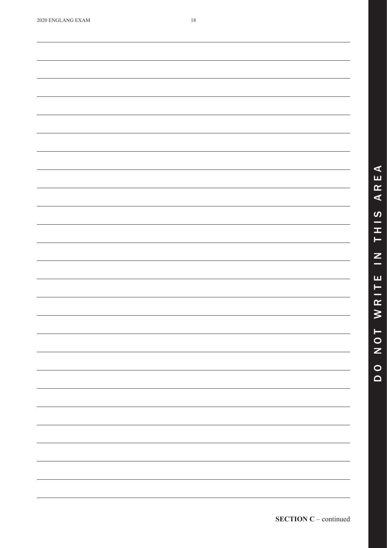| 2020 ENGLANG EXAM |  |
|-------------------|--|
|                   |  |

<u> 1989 - Johann Stoff, deutscher Stoff, der Stoff, der Stoff, der Stoff, der Stoff, der Stoff, der Stoff, der S</u>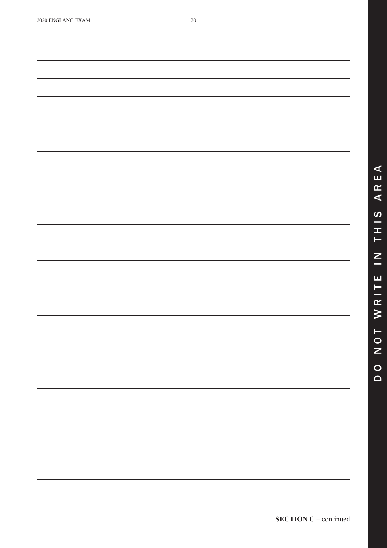| 2020 ENGLANG EXAM |  |
|-------------------|--|
|-------------------|--|

<u> 1989 - Johann Stoff, deutscher Stoff, der Stoff, der Stoff, der Stoff, der Stoff, der Stoff, der Stoff, der S</u>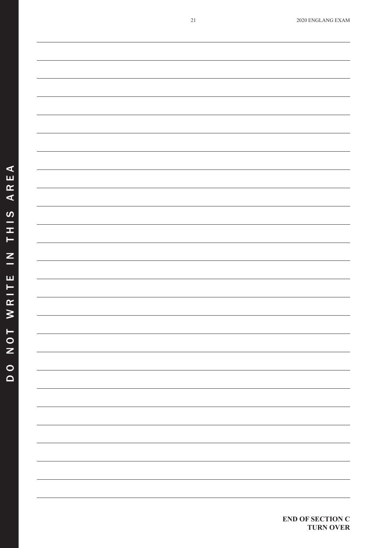**END OF SECTION C**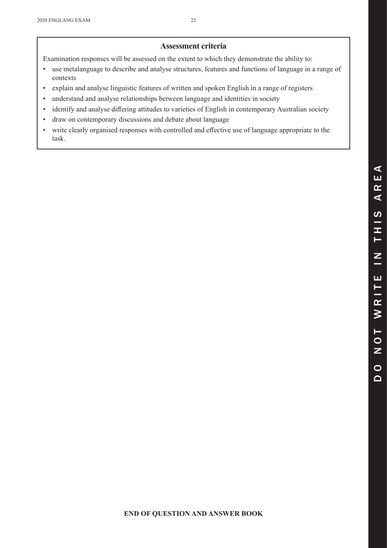#### **Assessment criteria**

Examination responses will be assessed on the extent to which they demonstrate the ability to:

- • use metalanguage to describe and analyse structures, features and functions of language in a range of contexts
- • explain and analyse linguistic features of written and spoken English in a range of registers
- understand and analyse relationships between language and identities in society
- • identify and analyse differing attitudes to varieties of English in contemporary Australian society
- draw on contemporary discussions and debate about language
- • write clearly organised responses with controlled and effective use of language appropriate to the task.

 $\Omega$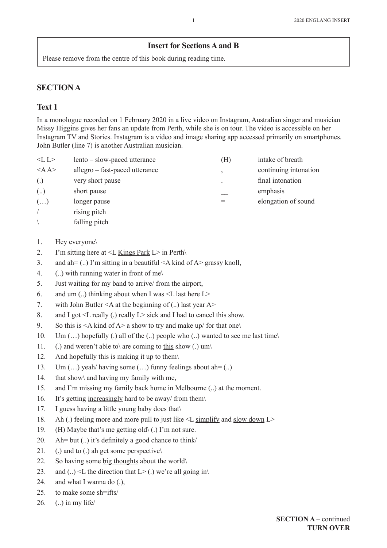#### **Insert for Sections A and B**

Please remove from the centre of this book during reading time.

#### **SECTION A**

#### **Text 1**

In a monologue recorded on 1 February 2020 in a live video on Instagram, Australian singer and musician Missy Higgins gives her fans an update from Perth, while she is on tour. The video is accessible on her Instagram TV and Stories. Instagram is a video and image sharing app accessed primarily on smartphones. John Butler (line 7) is another Australian musician.

| < L L             | lento – slow-paced utterance   | (H) | intake of breath      |
|-------------------|--------------------------------|-----|-----------------------|
| $<$ AA>           | allegro – fast-paced utterance |     | continuing intonation |
| $\left( .\right)$ | very short pause               |     | final intonation      |
| $($ )             | short pause                    |     | emphasis              |
| $(\ldots)$        | longer pause                   |     | elongation of sound   |
|                   | rising pitch                   |     |                       |
|                   | falling pitch                  |     |                       |

- 1. Hey everyone\
- 2. I'm sitting here at  $\leq L$  Kings Park L in Perth $\setminus$
- 3. and ah=  $(.)$  I'm sitting in a beautiful  $\leq$ A kind of A $>$  grassy knoll,
- 4. (..) with running water in front of me\
- 5. Just waiting for my band to arrive/ from the airport,
- 6. and um (..) thinking about when I was  $\leq L$  last here  $L$  >
- 7. with John Butler <A at the beginning of (..) last year A>
- 8. and I got  $\leq$  really (.) really  $L$  sick and I had to cancel this show.
- 9. So this is  $\leq A$  kind of A $>$  a show to try and make up/ for that one\
- 10. Um  $(...)$  hopefully  $(.)$  all of the  $(.)$  people who  $(.)$  wanted to see me last time $\setminus$
- 11. (.) and weren't able to are coming to this show (.) um
- 12. And hopefully this is making it up to them\
- 13. Um  $(...)$  yeah/ having some  $(...)$  funny feelings about ah= $(.)$
- 14. that show\ and having my family with me,
- 15. and I'm missing my family back home in Melbourne (..) at the moment.
- 16. It's getting increasingly hard to be away/ from them\
- 17. I guess having a little young baby does that\
- 18. Ah (.) feeling more and more pull to just like <L simplify and slow down L>
- 19. (H) Maybe that's me getting old $\setminus$  (.) I'm not sure.
- 20. Ah= but  $(.)$  it's definitely a good chance to think/
- 21. (.) and to (.) ah get some perspective
- 22. So having some big thoughts about the world\
- 23. and (..)  $\leq L$  the direction that  $L$   $>$  (.) we're all going in
- 24. and what I wanna  $\underline{do}$  (.),
- 25. to make some sh=ifts/
- 26. (..) in my life/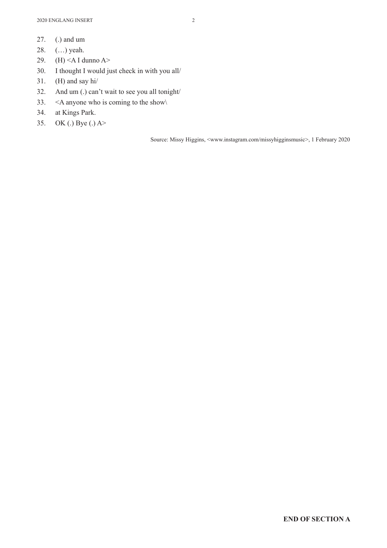- 27. (.) and um
- 28. (…) yeah.
- 29. (H) <A I dunno A>
- 30. I thought I would just check in with you all/
- 31. (H) and say hi/
- 32. And um (.) can't wait to see you all tonight/
- 33.  $\leq$  A anyone who is coming to the show
- 34. at Kings Park.
- 35. OK (.) Bye (.) A>

Source: Missy Higgins, <www.instagram.com/missyhigginsmusic>, 1 February 2020